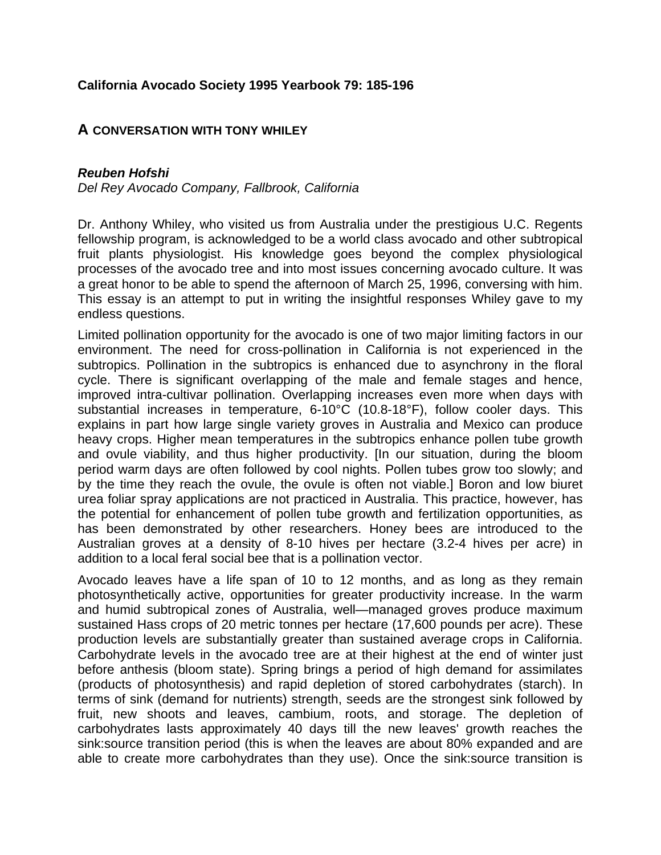## **California Avocado Society 1995 Yearbook 79: 185-196**

## **A CONVERSATION WITH TONY WHILEY**

## *Reuben Hofshi*

*Del Rey Avocado Company, Fallbrook, California*

Dr. Anthony Whiley, who visited us from Australia under the prestigious U.C. Regents fellowship program, is acknowledged to be a world class avocado and other subtropical fruit plants physiologist. His knowledge goes beyond the complex physiological processes of the avocado tree and into most issues concerning avocado culture. It was a great honor to be able to spend the afternoon of March 25, 1996, conversing with him. This essay is an attempt to put in writing the insightful responses Whiley gave to my endless questions.

Limited pollination opportunity for the avocado is one of two major limiting factors in our environment. The need for cross-pollination in California is not experienced in the subtropics. Pollination in the subtropics is enhanced due to asynchrony in the floral cycle. There is significant overlapping of the male and female stages and hence, improved intra-cultivar pollination. Overlapping increases even more when days with substantial increases in temperature, 6-10°C (10.8-18°F), follow cooler days. This explains in part how large single variety groves in Australia and Mexico can produce heavy crops. Higher mean temperatures in the subtropics enhance pollen tube growth and ovule viability, and thus higher productivity. [In our situation, during the bloom period warm days are often followed by cool nights. Pollen tubes grow too slowly; and by the time they reach the ovule, the ovule is often not viable.] Boron and low biuret urea foliar spray applications are not practiced in Australia. This practice, however, has the potential for enhancement of pollen tube growth and fertilization opportunities, as has been demonstrated by other researchers. Honey bees are introduced to the Australian groves at a density of 8-10 hives per hectare (3.2-4 hives per acre) in addition to a local feral social bee that is a pollination vector.

Avocado leaves have a life span of 10 to 12 months, and as long as they remain photosynthetically active, opportunities for greater productivity increase. In the warm and humid subtropical zones of Australia, well—managed groves produce maximum sustained Hass crops of 20 metric tonnes per hectare (17,600 pounds per acre). These production levels are substantially greater than sustained average crops in California. Carbohydrate levels in the avocado tree are at their highest at the end of winter just before anthesis (bloom state). Spring brings a period of high demand for assimilates (products of photosynthesis) and rapid depletion of stored carbohydrates (starch). In terms of sink (demand for nutrients) strength, seeds are the strongest sink followed by fruit, new shoots and leaves, cambium, roots, and storage. The depletion of carbohydrates lasts approximately 40 days till the new leaves' growth reaches the sink:source transition period (this is when the leaves are about 80% expanded and are able to create more carbohydrates than they use). Once the sink:source transition is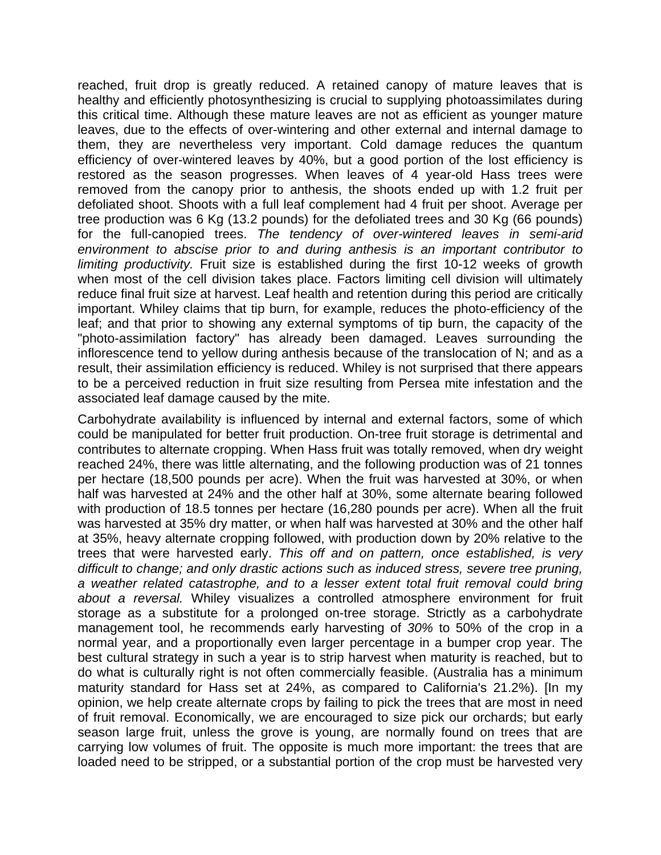reached, fruit drop is greatly reduced. A retained canopy of mature leaves that is healthy and efficiently photosynthesizing is crucial to supplying photoassimilates during this critical time. Although these mature leaves are not as efficient as younger mature leaves, due to the effects of over-wintering and other external and internal damage to them, they are nevertheless very important. Cold damage reduces the quantum efficiency of over-wintered leaves by 40%, but a good portion of the lost efficiency is restored as the season progresses. When leaves of 4 year-old Hass trees were removed from the canopy prior to anthesis, the shoots ended up with 1.2 fruit per defoliated shoot. Shoots with a full leaf complement had 4 fruit per shoot. Average per tree production was 6 Kg (13.2 pounds) for the defoliated trees and 30 Kg (66 pounds) for the full-canopied trees. *The tendency of over-wintered leaves in semi-arid environment to abscise prior to and during anthesis is an important contributor to limiting productivity.* Fruit size is established during the first 10-12 weeks of growth when most of the cell division takes place. Factors limiting cell division will ultimately reduce final fruit size at harvest. Leaf health and retention during this period are critically important. Whiley claims that tip burn, for example, reduces the photo-efficiency of the leaf; and that prior to showing any external symptoms of tip burn, the capacity of the "photo-assimilation factory" has already been damaged. Leaves surrounding the inflorescence tend to yellow during anthesis because of the translocation of N; and as a result, their assimilation efficiency is reduced. Whiley is not surprised that there appears to be a perceived reduction in fruit size resulting from Persea mite infestation and the associated leaf damage caused by the mite.

Carbohydrate availability is influenced by internal and external factors, some of which could be manipulated for better fruit production. On-tree fruit storage is detrimental and contributes to alternate cropping. When Hass fruit was totally removed, when dry weight reached 24%, there was little alternating, and the following production was of 21 tonnes per hectare (18,500 pounds per acre). When the fruit was harvested at 30%, or when half was harvested at 24% and the other half at 30%, some alternate bearing followed with production of 18.5 tonnes per hectare (16,280 pounds per acre). When all the fruit was harvested at 35% dry matter, or when half was harvested at 30% and the other half at 35%, heavy alternate cropping followed, with production down by 20% relative to the trees that were harvested early. *This off and on pattern, once established, is very difficult to change; and only drastic actions such as induced stress, severe tree pruning, a weather related catastrophe, and to a lesser extent total fruit removal could bring about a reversal.* Whiley visualizes a controlled atmosphere environment for fruit storage as a substitute for a prolonged on-tree storage. Strictly as a carbohydrate management tool, he recommends early harvesting of *30%* to 50% of the crop in a normal year, and a proportionally even larger percentage in a bumper crop year. The best cultural strategy in such a year is to strip harvest when maturity is reached, but to do what is culturally right is not often commercially feasible. (Australia has a minimum maturity standard for Hass set at 24%, as compared to California's 21.2%). [In my opinion, we help create alternate crops by failing to pick the trees that are most in need of fruit removal. Economically, we are encouraged to size pick our orchards; but early season large fruit, unless the grove is young, are normally found on trees that are carrying low volumes of fruit. The opposite is much more important: the trees that are loaded need to be stripped, or a substantial portion of the crop must be harvested very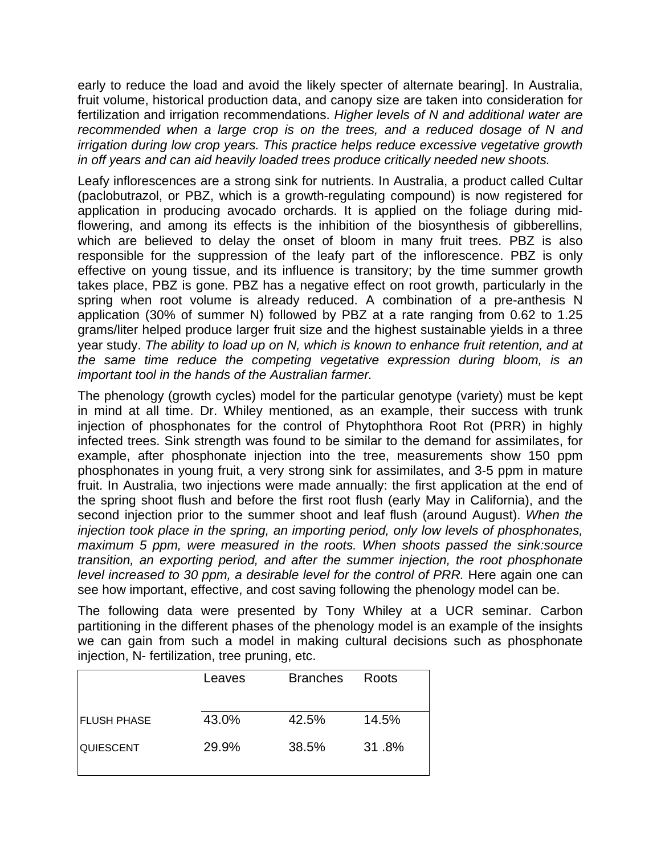early to reduce the load and avoid the likely specter of alternate bearing]. In Australia, fruit volume, historical production data, and canopy size are taken into consideration for fertilization and irrigation recommendations. *Higher levels of N and additional water are recommended when a large crop is on the trees, and a reduced dosage of N and irrigation during low crop years. This practice helps reduce excessive vegetative growth in off years and can aid heavily loaded trees produce critically needed new shoots.*

Leafy inflorescences are a strong sink for nutrients. In Australia, a product called Cultar (paclobutrazol, or PBZ, which is a growth-regulating compound) is now registered for application in producing avocado orchards. It is applied on the foliage during midflowering, and among its effects is the inhibition of the biosynthesis of gibberellins, which are believed to delay the onset of bloom in many fruit trees. PBZ is also responsible for the suppression of the leafy part of the inflorescence. PBZ is only effective on young tissue, and its influence is transitory; by the time summer growth takes place, PBZ is gone. PBZ has a negative effect on root growth, particularly in the spring when root volume is already reduced. A combination of a pre-anthesis N application (30% of summer N) followed by PBZ at a rate ranging from 0.62 to 1.25 grams/liter helped produce larger fruit size and the highest sustainable yields in a three year study. *The ability to load up on N, which is known to enhance fruit retention, and at the same time reduce the competing vegetative expression during bloom, is an important tool in the hands of the Australian farmer.*

The phenology (growth cycles) model for the particular genotype (variety) must be kept in mind at all time. Dr. Whiley mentioned, as an example, their success with trunk injection of phosphonates for the control of Phytophthora Root Rot (PRR) in highly infected trees. Sink strength was found to be similar to the demand for assimilates, for example, after phosphonate injection into the tree, measurements show 150 ppm phosphonates in young fruit, a very strong sink for assimilates, and 3-5 ppm in mature fruit. In Australia, two injections were made annually: the first application at the end of the spring shoot flush and before the first root flush (early May in California), and the second injection prior to the summer shoot and leaf flush (around August). *When the injection took place in the spring, an importing period, only low levels of phosphonates, maximum 5 ppm, were measured in the roots. When shoots passed the sink:source transition, an exporting period, and after the summer injection, the root phosphonate level increased to 30 ppm, a desirable level for the control of PRR.* Here again one can see how important, effective, and cost saving following the phenology model can be.

The following data were presented by Tony Whiley at a UCR seminar. Carbon partitioning in the different phases of the phenology model is an example of the insights we can gain from such a model in making cultural decisions such as phosphonate injection, N- fertilization, tree pruning, etc.

|                    | Leaves | <b>Branches</b> | Roots |
|--------------------|--------|-----------------|-------|
|                    |        |                 |       |
| <b>FLUSH PHASE</b> | 43.0%  | 42.5%           | 14.5% |
| <b>QUIESCENT</b>   | 29.9%  | 38.5%           | 31.8% |
|                    |        |                 |       |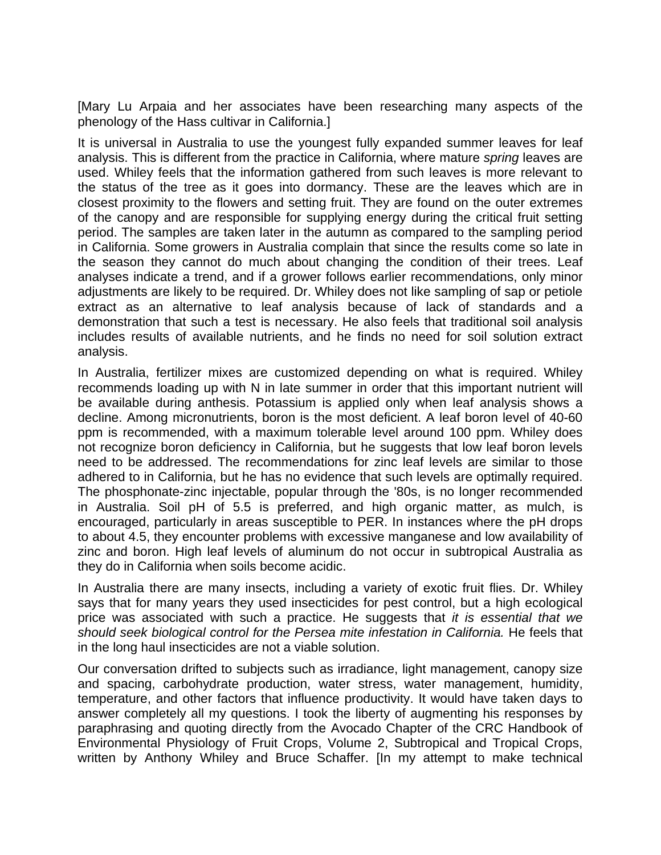[Mary Lu Arpaia and her associates have been researching many aspects of the phenology of the Hass cultivar in California.]

It is universal in Australia to use the youngest fully expanded summer leaves for leaf analysis. This is different from the practice in California, where mature *spring* leaves are used. Whiley feels that the information gathered from such leaves is more relevant to the status of the tree as it goes into dormancy. These are the leaves which are in closest proximity to the flowers and setting fruit. They are found on the outer extremes of the canopy and are responsible for supplying energy during the critical fruit setting period. The samples are taken later in the autumn as compared to the sampling period in California. Some growers in Australia complain that since the results come so late in the season they cannot do much about changing the condition of their trees. Leaf analyses indicate a trend, and if a grower follows earlier recommendations, only minor adjustments are likely to be required. Dr. Whiley does not like sampling of sap or petiole extract as an alternative to leaf analysis because of lack of standards and a demonstration that such a test is necessary. He also feels that traditional soil analysis includes results of available nutrients, and he finds no need for soil solution extract analysis.

In Australia, fertilizer mixes are customized depending on what is required. Whiley recommends loading up with N in late summer in order that this important nutrient will be available during anthesis. Potassium is applied only when leaf analysis shows a decline. Among micronutrients, boron is the most deficient. A leaf boron level of 40-60 ppm is recommended, with a maximum tolerable level around 100 ppm. Whiley does not recognize boron deficiency in California, but he suggests that low leaf boron levels need to be addressed. The recommendations for zinc leaf levels are similar to those adhered to in California, but he has no evidence that such levels are optimally required. The phosphonate-zinc injectable, popular through the '80s, is no longer recommended in Australia. Soil pH of 5.5 is preferred, and high organic matter, as mulch, is encouraged, particularly in areas susceptible to PER. In instances where the pH drops to about 4.5, they encounter problems with excessive manganese and low availability of zinc and boron. High leaf levels of aluminum do not occur in subtropical Australia as they do in California when soils become acidic.

In Australia there are many insects, including a variety of exotic fruit flies. Dr. Whiley says that for many years they used insecticides for pest control, but a high ecological price was associated with such a practice. He suggests that *it is essential that we*  should seek biological control for the Persea mite infestation in California. He feels that in the long haul insecticides are not a viable solution.

Our conversation drifted to subjects such as irradiance, light management, canopy size and spacing, carbohydrate production, water stress, water management, humidity, temperature, and other factors that influence productivity. It would have taken days to answer completely all my questions. I took the liberty of augmenting his responses by paraphrasing and quoting directly from the Avocado Chapter of the CRC Handbook of Environmental Physiology of Fruit Crops, Volume 2, Subtropical and Tropical Crops, written by Anthony Whiley and Bruce Schaffer. [In my attempt to make technical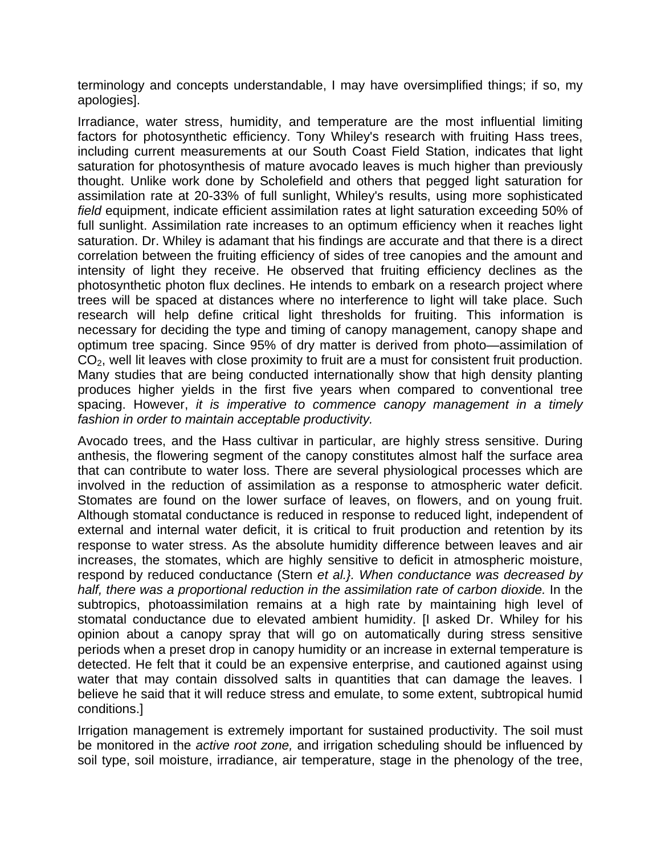terminology and concepts understandable, I may have oversimplified things; if so, my apologies].

Irradiance, water stress, humidity, and temperature are the most influential limiting factors for photosynthetic efficiency. Tony Whiley's research with fruiting Hass trees, including current measurements at our South Coast Field Station, indicates that light saturation for photosynthesis of mature avocado leaves is much higher than previously thought. Unlike work done by Scholefield and others that pegged light saturation for assimilation rate at 20-33% of full sunlight, Whiley's results, using more sophisticated *field* equipment, indicate efficient assimilation rates at light saturation exceeding 50% of full sunlight. Assimilation rate increases to an optimum efficiency when it reaches light saturation. Dr. Whiley is adamant that his findings are accurate and that there is a direct correlation between the fruiting efficiency of sides of tree canopies and the amount and intensity of light they receive. He observed that fruiting efficiency declines as the photosynthetic photon flux declines. He intends to embark on a research project where trees will be spaced at distances where no interference to light will take place. Such research will help define critical light thresholds for fruiting. This information is necessary for deciding the type and timing of canopy management, canopy shape and optimum tree spacing. Since 95% of dry matter is derived from photo—assimilation of  $CO<sub>2</sub>$ , well lit leaves with close proximity to fruit are a must for consistent fruit production. Many studies that are being conducted internationally show that high density planting produces higher yields in the first five years when compared to conventional tree spacing. However, *it is imperative to commence canopy management in a timely fashion in order to maintain acceptable productivity.*

Avocado trees, and the Hass cultivar in particular, are highly stress sensitive. During anthesis, the flowering segment of the canopy constitutes almost half the surface area that can contribute to water loss. There are several physiological processes which are involved in the reduction of assimilation as a response to atmospheric water deficit. Stomates are found on the lower surface of leaves, on flowers, and on young fruit. Although stomatal conductance is reduced in response to reduced light, independent of external and internal water deficit, it is critical to fruit production and retention by its response to water stress. As the absolute humidity difference between leaves and air increases, the stomates, which are highly sensitive to deficit in atmospheric moisture, respond by reduced conductance (Stern *et al.}. When conductance was decreased by*  half, there was a proportional reduction in the assimilation rate of carbon dioxide. In the subtropics, photoassimilation remains at a high rate by maintaining high level of stomatal conductance due to elevated ambient humidity. [I asked Dr. Whiley for his opinion about a canopy spray that will go on automatically during stress sensitive periods when a preset drop in canopy humidity or an increase in external temperature is detected. He felt that it could be an expensive enterprise, and cautioned against using water that may contain dissolved salts in quantities that can damage the leaves. I believe he said that it will reduce stress and emulate, to some extent, subtropical humid conditions.]

Irrigation management is extremely important for sustained productivity. The soil must be monitored in the *active root zone,* and irrigation scheduling should be influenced by soil type, soil moisture, irradiance, air temperature, stage in the phenology of the tree,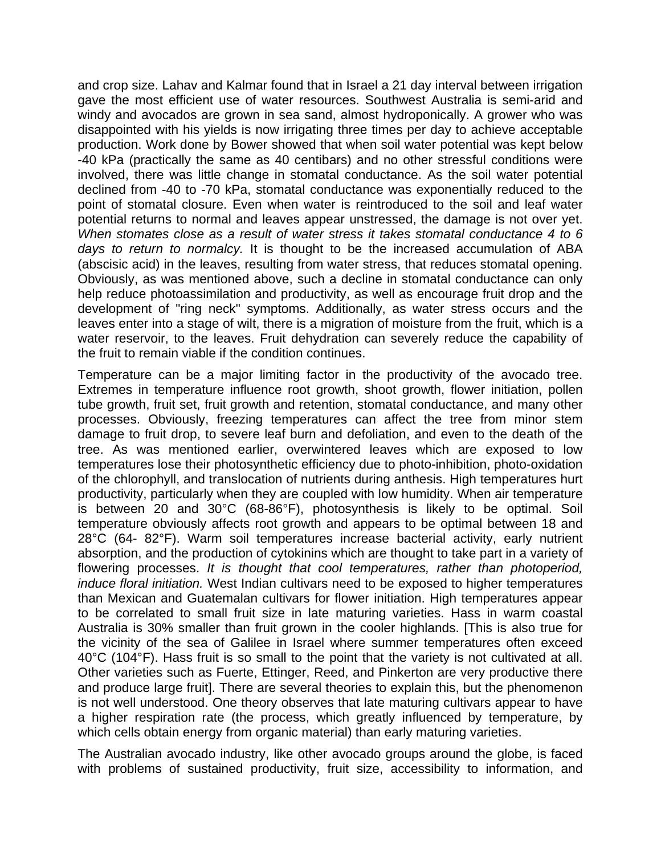and crop size. Lahav and Kalmar found that in Israel a 21 day interval between irrigation gave the most efficient use of water resources. Southwest Australia is semi-arid and windy and avocados are grown in sea sand, almost hydroponically. A grower who was disappointed with his yields is now irrigating three times per day to achieve acceptable production. Work done by Bower showed that when soil water potential was kept below -40 kPa (practically the same as 40 centibars) and no other stressful conditions were involved, there was little change in stomatal conductance. As the soil water potential declined from -40 to -70 kPa, stomatal conductance was exponentially reduced to the point of stomatal closure. Even when water is reintroduced to the soil and leaf water potential returns to normal and leaves appear unstressed, the damage is not over yet. *When stomates close as a result of water stress it takes stomatal conductance 4 to 6 days to return to normalcy.* It is thought to be the increased accumulation of ABA (abscisic acid) in the leaves, resulting from water stress, that reduces stomatal opening. Obviously, as was mentioned above, such a decline in stomatal conductance can only help reduce photoassimilation and productivity, as well as encourage fruit drop and the development of "ring neck" symptoms. Additionally, as water stress occurs and the leaves enter into a stage of wilt, there is a migration of moisture from the fruit, which is a water reservoir, to the leaves. Fruit dehydration can severely reduce the capability of the fruit to remain viable if the condition continues.

Temperature can be a major limiting factor in the productivity of the avocado tree. Extremes in temperature influence root growth, shoot growth, flower initiation, pollen tube growth, fruit set, fruit growth and retention, stomatal conductance, and many other processes. Obviously, freezing temperatures can affect the tree from minor stem damage to fruit drop, to severe leaf burn and defoliation, and even to the death of the tree. As was mentioned earlier, overwintered leaves which are exposed to low temperatures lose their photosynthetic efficiency due to photo-inhibition, photo-oxidation of the chlorophyll, and translocation of nutrients during anthesis. High temperatures hurt productivity, particularly when they are coupled with low humidity. When air temperature is between 20 and 30°C (68-86°F), photosynthesis is likely to be optimal. Soil temperature obviously affects root growth and appears to be optimal between 18 and 28°C (64- 82°F). Warm soil temperatures increase bacterial activity, early nutrient absorption, and the production of cytokinins which are thought to take part in a variety of flowering processes. *It is thought that cool temperatures, rather than photoperiod, induce floral initiation.* West Indian cultivars need to be exposed to higher temperatures than Mexican and Guatemalan cultivars for flower initiation. High temperatures appear to be correlated to small fruit size in late maturing varieties. Hass in warm coastal Australia is 30% smaller than fruit grown in the cooler highlands. [This is also true for the vicinity of the sea of Galilee in Israel where summer temperatures often exceed 40°C (104°F). Hass fruit is so small to the point that the variety is not cultivated at all. Other varieties such as Fuerte, Ettinger, Reed, and Pinkerton are very productive there and produce large fruit]. There are several theories to explain this, but the phenomenon is not well understood. One theory observes that late maturing cultivars appear to have a higher respiration rate (the process, which greatly influenced by temperature, by which cells obtain energy from organic material) than early maturing varieties.

The Australian avocado industry, like other avocado groups around the globe, is faced with problems of sustained productivity, fruit size, accessibility to information, and